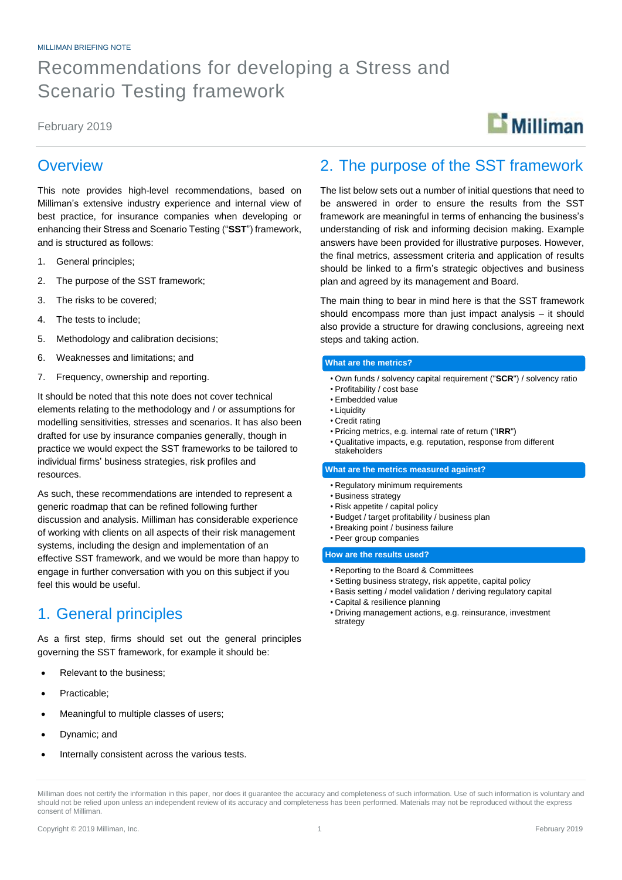# Recommendations for developing a Stress and Scenario Testing framework

February 2019

# **Milliman**

#### **Overview**

This note provides high-level recommendations, based on Milliman's extensive industry experience and internal view of best practice, for insurance companies when developing or enhancing their Stress and Scenario Testing ("**SST**") framework, and is structured as follows:

- 1. General principles;
- 2. The purpose of the SST framework;
- 3. The risks to be covered;
- 4. The tests to include;
- 5. Methodology and calibration decisions;
- 6. Weaknesses and limitations; and
- 7. Frequency, ownership and reporting.

It should be noted that this note does not cover technical elements relating to the methodology and / or assumptions for modelling sensitivities, stresses and scenarios. It has also been drafted for use by insurance companies generally, though in practice we would expect the SST frameworks to be tailored to individual firms' business strategies, risk profiles and resources.

As such, these recommendations are intended to represent a generic roadmap that can be refined following further discussion and analysis. Milliman has considerable experience of working with clients on all aspects of their risk management systems, including the design and implementation of an effective SST framework, and we would be more than happy to engage in further conversation with you on this subject if you feel this would be useful.

## 1. General principles

As a first step, firms should set out the general principles governing the SST framework, for example it should be:

- Relevant to the business;
- Practicable;
- Meaningful to multiple classes of users;
- Dynamic; and
- Internally consistent across the various tests.

#### 2. The purpose of the SST framework

The list below sets out a number of initial questions that need to be answered in order to ensure the results from the SST framework are meaningful in terms of enhancing the business's understanding of risk and informing decision making. Example answers have been provided for illustrative purposes. However, the final metrics, assessment criteria and application of results should be linked to a firm's strategic objectives and business plan and agreed by its management and Board.

The main thing to bear in mind here is that the SST framework should encompass more than just impact analysis – it should also provide a structure for drawing conclusions, agreeing next steps and taking action.

#### **What are the metrics?**

- Own funds / solvency capital requirement ("**SCR**") / solvency ratio
- Profitability / cost base
- Embedded value
- Liquidity
- Credit rating
- Pricing metrics, e.g. internal rate of return ("I**RR**")
- Qualitative impacts, e.g. reputation, response from different stakeholders

#### **What are the metrics measured against?**

- Regulatory minimum requirements
- Business strategy
- Risk appetite / capital policy
- Budget / target profitability / business plan
- Breaking point / business failure
- Peer group companies

#### **How are the results used?**

- Reporting to the Board & Committees
- Setting business strategy, risk appetite, capital policy
- Basis setting / model validation / deriving regulatory capital
- Capital & resilience planning
- Driving management actions, e.g. reinsurance, investment strategy

Milliman does not certify the information in this paper, nor does it guarantee the accuracy and completeness of such information. Use of such information is voluntary and should not be relied upon unless an independent review of its accuracy and completeness has been performed. Materials may not be reproduced without the express consent of Milliman.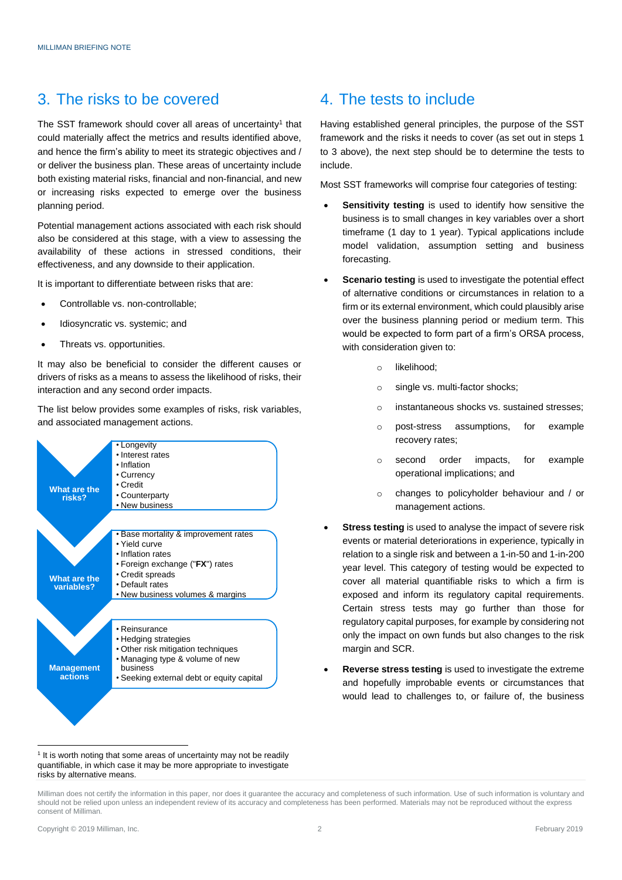### 3. The risks to be covered

The SST framework should cover all areas of uncertainty<sup>1</sup> that could materially affect the metrics and results identified above, and hence the firm's ability to meet its strategic objectives and / or deliver the business plan. These areas of uncertainty include both existing material risks, financial and non-financial, and new or increasing risks expected to emerge over the business planning period.

Potential management actions associated with each risk should also be considered at this stage, with a view to assessing the availability of these actions in stressed conditions, their effectiveness, and any downside to their application.

It is important to differentiate between risks that are:

- Controllable vs. non-controllable;
- Idiosyncratic vs. systemic; and
- Threats vs. opportunities.

It may also be beneficial to consider the different causes or drivers of risks as a means to assess the likelihood of risks, their interaction and any second order impacts.

The list below provides some examples of risks, risk variables, and associated management actions.



#### 4. The tests to include

Having established general principles, the purpose of the SST framework and the risks it needs to cover (as set out in steps 1 to 3 above), the next step should be to determine the tests to include.

Most SST frameworks will comprise four categories of testing:

- **Sensitivity testing** is used to identify how sensitive the business is to small changes in key variables over a short timeframe (1 day to 1 year). Typical applications include model validation, assumption setting and business forecasting.
- **Scenario testing** is used to investigate the potential effect of alternative conditions or circumstances in relation to a firm or its external environment, which could plausibly arise over the business planning period or medium term. This would be expected to form part of a firm's ORSA process, with consideration given to:
	- o likelihood;
	- o single vs. multi-factor shocks;
	- o instantaneous shocks vs. sustained stresses;
	- o post-stress assumptions, for example recovery rates;
	- o second order impacts, for example operational implications; and
	- o changes to policyholder behaviour and / or management actions.
- **Stress testing** is used to analyse the impact of severe risk events or material deteriorations in experience, typically in relation to a single risk and between a 1-in-50 and 1-in-200 year level. This category of testing would be expected to cover all material quantifiable risks to which a firm is exposed and inform its regulatory capital requirements. Certain stress tests may go further than those for regulatory capital purposes, for example by considering not only the impact on own funds but also changes to the risk margin and SCR.
- **Reverse stress testing** is used to investigate the extreme and hopefully improbable events or circumstances that would lead to challenges to, or failure of, the business

 $\overline{a}$ <sup>1</sup> It is worth noting that some areas of uncertainty may not be readily quantifiable, in which case it may be more appropriate to investigate risks by alternative means.

Milliman does not certify the information in this paper, nor does it guarantee the accuracy and completeness of such information. Use of such information is voluntary and should not be relied upon unless an independent review of its accuracy and completeness has been performed. Materials may not be reproduced without the express consent of Milliman.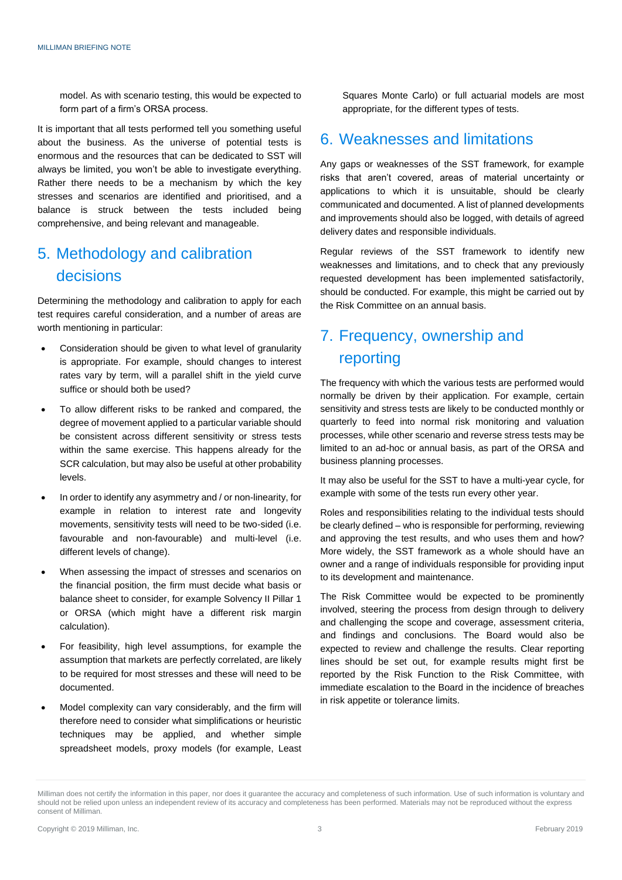model. As with scenario testing, this would be expected to form part of a firm's ORSA process.

It is important that all tests performed tell you something useful about the business. As the universe of potential tests is enormous and the resources that can be dedicated to SST will always be limited, you won't be able to investigate everything. Rather there needs to be a mechanism by which the key stresses and scenarios are identified and prioritised, and a balance is struck between the tests included being comprehensive, and being relevant and manageable.

## 5. Methodology and calibration decisions

Determining the methodology and calibration to apply for each test requires careful consideration, and a number of areas are worth mentioning in particular:

- Consideration should be given to what level of granularity is appropriate. For example, should changes to interest rates vary by term, will a parallel shift in the yield curve suffice or should both be used?
- To allow different risks to be ranked and compared, the degree of movement applied to a particular variable should be consistent across different sensitivity or stress tests within the same exercise. This happens already for the SCR calculation, but may also be useful at other probability levels.
- In order to identify any asymmetry and / or non-linearity, for example in relation to interest rate and longevity movements, sensitivity tests will need to be two-sided (i.e. favourable and non-favourable) and multi-level (i.e. different levels of change).
- When assessing the impact of stresses and scenarios on the financial position, the firm must decide what basis or balance sheet to consider, for example Solvency II Pillar 1 or ORSA (which might have a different risk margin calculation).
- For feasibility, high level assumptions, for example the assumption that markets are perfectly correlated, are likely to be required for most stresses and these will need to be documented.
- Model complexity can vary considerably, and the firm will therefore need to consider what simplifications or heuristic techniques may be applied, and whether simple spreadsheet models, proxy models (for example, Least

Squares Monte Carlo) or full actuarial models are most appropriate, for the different types of tests.

### 6. Weaknesses and limitations

Any gaps or weaknesses of the SST framework, for example risks that aren't covered, areas of material uncertainty or applications to which it is unsuitable, should be clearly communicated and documented. A list of planned developments and improvements should also be logged, with details of agreed delivery dates and responsible individuals.

Regular reviews of the SST framework to identify new weaknesses and limitations, and to check that any previously requested development has been implemented satisfactorily, should be conducted. For example, this might be carried out by the Risk Committee on an annual basis.

## 7. Frequency, ownership and reporting

The frequency with which the various tests are performed would normally be driven by their application. For example, certain sensitivity and stress tests are likely to be conducted monthly or quarterly to feed into normal risk monitoring and valuation processes, while other scenario and reverse stress tests may be limited to an ad-hoc or annual basis, as part of the ORSA and business planning processes.

It may also be useful for the SST to have a multi-year cycle, for example with some of the tests run every other year.

Roles and responsibilities relating to the individual tests should be clearly defined – who is responsible for performing, reviewing and approving the test results, and who uses them and how? More widely, the SST framework as a whole should have an owner and a range of individuals responsible for providing input to its development and maintenance.

The Risk Committee would be expected to be prominently involved, steering the process from design through to delivery and challenging the scope and coverage, assessment criteria, and findings and conclusions. The Board would also be expected to review and challenge the results. Clear reporting lines should be set out, for example results might first be reported by the Risk Function to the Risk Committee, with immediate escalation to the Board in the incidence of breaches in risk appetite or tolerance limits.

Milliman does not certify the information in this paper, nor does it guarantee the accuracy and completeness of such information. Use of such information is voluntary and should not be relied upon unless an independent review of its accuracy and completeness has been performed. Materials may not be reproduced without the express consent of Milliman.